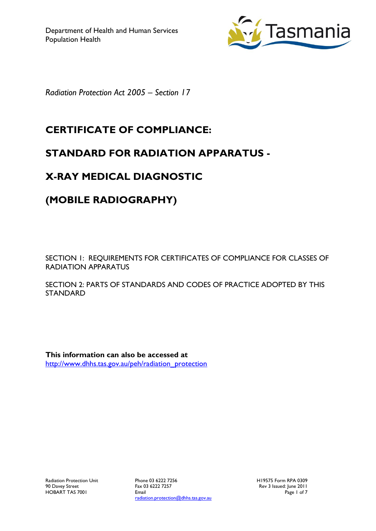

*Radiation Protection Act 2005 – Section 17*

# **CERTIFICATE OF COMPLIANCE:**

## **STANDARD FOR RADIATION APPARATUS -**

# **X-RAY MEDICAL DIAGNOSTIC**

## **(MOBILE RADIOGRAPHY)**

SECTION 1: REQUIREMENTS FOR CERTIFICATES OF COMPLIANCE FOR CLASSES OF RADIATION APPARATUS

SECTION 2: PARTS OF STANDARDS AND CODES OF PRACTICE ADOPTED BY THIS STANDARD

**This information can also be accessed at** [http://www.dhhs.tas.gov.au/peh/radiation\\_protection](http://www.dhhs.tas.gov.au/peh/radiation_protection)

Phone 03 6222 7256 Fax 03 6222 7257 Email radiation.protection@dhhs.tas.gov.au H19575 Form RPA 0309 Rev 3 Issued: June 2011 Page 1 of 7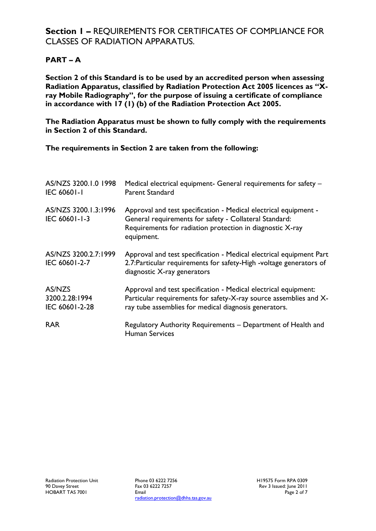## **Section 1 –** REQUIREMENTS FOR CERTIFICATES OF COMPLIANCE FOR CLASSES OF RADIATION APPARATUS.

### **PART – A**

**Section 2 of this Standard is to be used by an accredited person when assessing Radiation Apparatus, classified by Radiation Protection Act 2005 licences as "Xray Mobile Radiography", for the purpose of issuing a certificate of compliance in accordance with 17 (1) (b) of the Radiation Protection Act 2005.**

**The Radiation Apparatus must be shown to fully comply with the requirements in Section 2 of this Standard.**

**The requirements in Section 2 are taken from the following:**

| AS/NZS 3200.1.0 1998<br><b>IEC 60601-1</b> | Medical electrical equipment- General requirements for safety -<br>Parent Standard                                                                                                                    |
|--------------------------------------------|-------------------------------------------------------------------------------------------------------------------------------------------------------------------------------------------------------|
| AS/NZS 3200.1.3:1996<br>IEC 60601-1-3      | Approval and test specification - Medical electrical equipment -<br>General requirements for safety - Collateral Standard:<br>Requirements for radiation protection in diagnostic X-ray<br>equipment. |
| AS/NZS 3200.2.7:1999<br>IEC 60601-2-7      | Approval and test specification - Medical electrical equipment Part<br>2.7: Particular requirements for safety-High -voltage generators of<br>diagnostic X-ray generators                             |
| AS/NZS<br>3200.2.28:1994<br>IEC 60601-2-28 | Approval and test specification - Medical electrical equipment:<br>Particular requirements for safety-X-ray source assemblies and X-<br>ray tube assemblies for medical diagnosis generators.         |
| <b>RAR</b>                                 | Regulatory Authority Requirements - Department of Health and<br><b>Human Services</b>                                                                                                                 |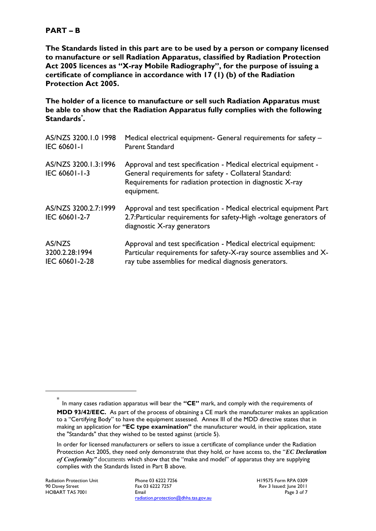#### **PART – B**

**The Standards listed in this part are to be used by a person or company licensed to manufacture or sell Radiation Apparatus, classified by Radiation Protection Act 2005 licences as "X-ray Mobile Radiography", for the purpose of issuing a certificate of compliance in accordance with 17 (1) (b) of the Radiation Protection Act 2005.**

**The holder of a licence to manufacture or sell such Radiation Apparatus must be able to show that the Radiation Apparatus fully complies with the following Standards\* .**

| AS/NZS 3200.1.0 1998                  | Medical electrical equipment- General requirements for safety -                                                                                                                                       |
|---------------------------------------|-------------------------------------------------------------------------------------------------------------------------------------------------------------------------------------------------------|
| <b>IEC 60601-1</b>                    | <b>Parent Standard</b>                                                                                                                                                                                |
| AS/NZS 3200.1.3:1996<br>IEC 60601-1-3 | Approval and test specification - Medical electrical equipment -<br>General requirements for safety - Collateral Standard:<br>Requirements for radiation protection in diagnostic X-ray<br>equipment. |
| AS/NZS 3200.2.7:1999<br>IEC 60601-2-7 | Approval and test specification - Medical electrical equipment Part<br>2.7: Particular requirements for safety-High -voltage generators of<br>diagnostic X-ray generators                             |
| AS/NZS                                | Approval and test specification - Medical electrical equipment:                                                                                                                                       |
| 3200.2.28:1994                        | Particular requirements for safety-X-ray source assemblies and X-                                                                                                                                     |
| IEC 60601-2-28                        | ray tube assemblies for medical diagnosis generators.                                                                                                                                                 |

1

H19575 Form RPA 0309 Rev 3 Issued: June 2011 Page 3 of 7

<sup>\*</sup> In many cases radiation apparatus will bear the **"CE"** mark, and comply with the requirements of **MDD 93/42/EEC.** As part of the process of obtaining a CE mark the manufacturer makes an application to a "Certifying Body" to have the equipment assessed. Annex III of the MDD directive states that in making an application for **"EC type examination"** the manufacturer would, in their application, state the "Standards" that they wished to be tested against (article 5).

In order for licensed manufacturers or sellers to issue a certificate of compliance under the Radiation Protection Act 2005, they need only demonstrate that they hold, or have access to, the "*EC Declaration of Conformity"* documents which show that the "make and model" of apparatus they are supplying complies with the Standards listed in Part B above.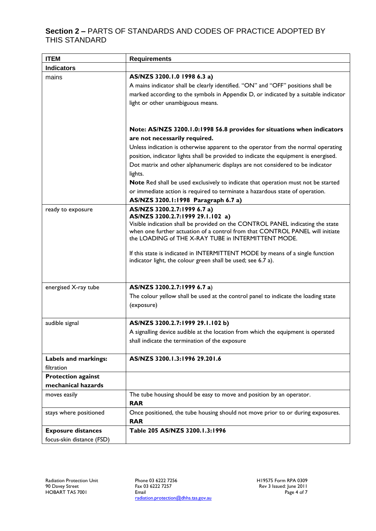### **Section 2 –** PARTS OF STANDARDS AND CODES OF PRACTICE ADOPTED BY THIS STANDARD

| <b>ITEM</b>                                            | <b>Requirements</b>                                                                                                                                                                                                                                                                                                                                                                                                                                                                                                                                                                           |
|--------------------------------------------------------|-----------------------------------------------------------------------------------------------------------------------------------------------------------------------------------------------------------------------------------------------------------------------------------------------------------------------------------------------------------------------------------------------------------------------------------------------------------------------------------------------------------------------------------------------------------------------------------------------|
| <b>Indicators</b>                                      |                                                                                                                                                                                                                                                                                                                                                                                                                                                                                                                                                                                               |
| mains                                                  | AS/NZS 3200.1.0 1998 6.3 a)<br>A mains indicator shall be clearly identified. "ON" and "OFF" positions shall be<br>marked according to the symbols in Appendix D, or indicated by a suitable indicator<br>light or other unambiguous means.                                                                                                                                                                                                                                                                                                                                                   |
|                                                        | Note: AS/NZS 3200.1.0:1998 56.8 provides for situations when indicators<br>are not necessarily required.<br>Unless indication is otherwise apparent to the operator from the normal operating<br>position, indicator lights shall be provided to indicate the equipment is energised.<br>Dot matrix and other alphanumeric displays are not considered to be indicator<br>lights.<br>Note Red shall be used exclusively to indicate that operation must not be started<br>or immediate action is required to terminate a hazardous state of operation.<br>AS/NZS 3200.1:1998 Paragraph 6.7 a) |
| ready to exposure                                      | AS/NZS 3200.2.7:1999 6.7 a)<br>AS/NZS 3200.2.7:1999 29.1.102 a)<br>Visible indication shall be provided on the CONTROL PANEL indicating the state<br>when one further actuation of a control from that CONTROL PANEL will initiate<br>the LOADING of THE X-RAY TUBE in INTERMITTENT MODE.<br>If this state is indicated in INTERMITTENT MODE by means of a single function<br>indicator light, the colour green shall be used; see 6.7 a).                                                                                                                                                    |
| energised X-ray tube                                   | AS/NZS 3200.2.7:1999 6.7 a)<br>The colour yellow shall be used at the control panel to indicate the loading state<br>(exposure)                                                                                                                                                                                                                                                                                                                                                                                                                                                               |
| audible signal                                         | AS/NZS 3200.2.7:1999 29.1.102 b)<br>A signalling device audible at the location from which the equipment is operated<br>shall indicate the termination of the exposure                                                                                                                                                                                                                                                                                                                                                                                                                        |
| Labels and markings:<br>filtration                     | AS/NZS 3200.1.3:1996 29.201.6                                                                                                                                                                                                                                                                                                                                                                                                                                                                                                                                                                 |
| <b>Protection against</b><br>mechanical hazards        |                                                                                                                                                                                                                                                                                                                                                                                                                                                                                                                                                                                               |
| moves easily                                           | The tube housing should be easy to move and position by an operator.<br><b>RAR</b>                                                                                                                                                                                                                                                                                                                                                                                                                                                                                                            |
| stays where positioned                                 | Once positioned, the tube housing should not move prior to or during exposures.<br><b>RAR</b>                                                                                                                                                                                                                                                                                                                                                                                                                                                                                                 |
| <b>Exposure distances</b><br>focus-skin distance (FSD) | Table 205 AS/NZS 3200.1.3:1996                                                                                                                                                                                                                                                                                                                                                                                                                                                                                                                                                                |

Phone 03 6222 7256 Fax 03 6222 7257 Email radiation.protection@dhhs.tas.gov.au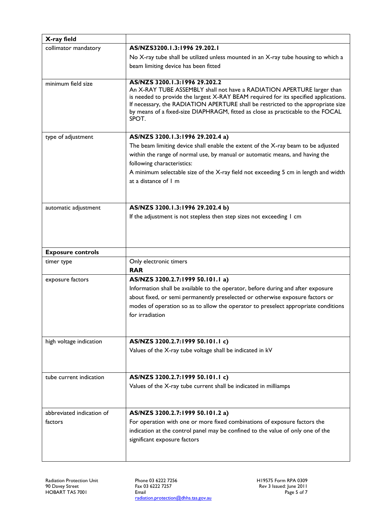| X-ray field               |                                                                                                                                                                     |
|---------------------------|---------------------------------------------------------------------------------------------------------------------------------------------------------------------|
| collimator mandatory      | AS/NZS3200.1.3:1996 29.202.1                                                                                                                                        |
|                           | No X-ray tube shall be utilized unless mounted in an X-ray tube housing to which a                                                                                  |
|                           | beam limiting device has been fitted                                                                                                                                |
| minimum field size        | AS/NZS 3200.1.3:1996 29.202.2                                                                                                                                       |
|                           | An X-RAY TUBE ASSEMBLY shall not have a RADIATION APERTURE larger than                                                                                              |
|                           | is needed to provide the largest X-RAY BEAM required for its specified applications.                                                                                |
|                           | If necessary, the RADIATION APERTURE shall be restricted to the appropriate size<br>by means of a fixed-size DIAPHRAGM, fitted as close as practicable to the FOCAL |
|                           | SPOT.                                                                                                                                                               |
|                           |                                                                                                                                                                     |
| type of adjustment        | AS/NZS 3200.1.3:1996 29.202.4 a)                                                                                                                                    |
|                           | The beam limiting device shall enable the extent of the X-ray beam to be adjusted                                                                                   |
|                           | within the range of normal use, by manual or automatic means, and having the                                                                                        |
|                           | following characteristics:                                                                                                                                          |
|                           | A minimum selectable size of the X-ray field not exceeding 5 cm in length and width<br>at a distance of 1 m                                                         |
|                           |                                                                                                                                                                     |
|                           |                                                                                                                                                                     |
| automatic adjustment      | AS/NZS 3200.1.3:1996 29.202.4 b)                                                                                                                                    |
|                           | If the adjustment is not stepless then step sizes not exceeding I cm                                                                                                |
|                           |                                                                                                                                                                     |
|                           |                                                                                                                                                                     |
|                           |                                                                                                                                                                     |
|                           |                                                                                                                                                                     |
| <b>Exposure controls</b>  |                                                                                                                                                                     |
| timer type                | Only electronic timers                                                                                                                                              |
|                           | <b>RAR</b>                                                                                                                                                          |
| exposure factors          | AS/NZS 3200.2.7:1999 50.101.1 a)                                                                                                                                    |
|                           | Information shall be available to the operator, before during and after exposure                                                                                    |
|                           | about fixed, or semi permanently preselected or otherwise exposure factors or                                                                                       |
|                           | modes of operation so as to allow the operator to preselect appropriate conditions<br>for irradiation                                                               |
|                           |                                                                                                                                                                     |
|                           |                                                                                                                                                                     |
| high voltage indication   | AS/NZS 3200.2.7:1999 50.101.1 c)                                                                                                                                    |
|                           | Values of the X-ray tube voltage shall be indicated in kV                                                                                                           |
|                           |                                                                                                                                                                     |
| tube current indication   |                                                                                                                                                                     |
|                           | AS/NZS 3200.2.7:1999 50.101.1 c)                                                                                                                                    |
|                           | Values of the X-ray tube current shall be indicated in milliamps                                                                                                    |
|                           |                                                                                                                                                                     |
| abbreviated indication of | AS/NZS 3200.2.7:1999 50.101.2 a)                                                                                                                                    |
| factors                   | For operation with one or more fixed combinations of exposure factors the                                                                                           |
|                           | indication at the control panel may be confined to the value of only one of the                                                                                     |
|                           | significant exposure factors                                                                                                                                        |

Phone 03 6222 7256 Fax 03 6222 7257 Email radiation.protection@dhhs.tas.gov.au H19575 Form RPA 0309 Rev 3 Issued: June 2011 Page 5 of 7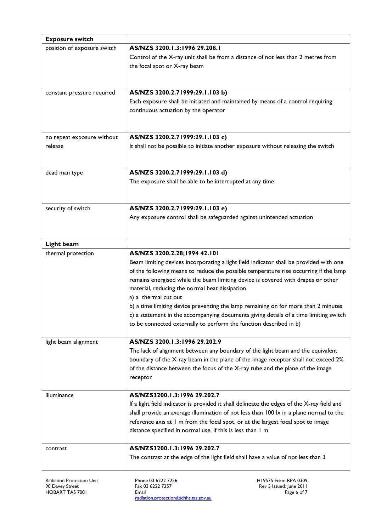| <b>Exposure switch</b>           |                                                                                                                                                                      |
|----------------------------------|----------------------------------------------------------------------------------------------------------------------------------------------------------------------|
| position of exposure switch      | AS/NZS 3200.1.3:1996 29.208.1                                                                                                                                        |
|                                  | Control of the X-ray unit shall be from a distance of not less than 2 metres from                                                                                    |
|                                  | the focal spot or X-ray beam                                                                                                                                         |
|                                  |                                                                                                                                                                      |
|                                  |                                                                                                                                                                      |
| constant pressure required       | AS/NZS 3200.2.71999:29.1.103 b)                                                                                                                                      |
|                                  | Each exposure shall be initiated and maintained by means of a control requiring                                                                                      |
|                                  | continuous actuation by the operator                                                                                                                                 |
|                                  |                                                                                                                                                                      |
| no repeat exposure without       | AS/NZS 3200.2.71999:29.1.103 c)                                                                                                                                      |
| release                          | It shall not be possible to initiate another exposure without releasing the switch                                                                                   |
|                                  |                                                                                                                                                                      |
|                                  |                                                                                                                                                                      |
| dead man type                    | AS/NZS 3200.2.71999:29.1.103 d)                                                                                                                                      |
|                                  | The exposure shall be able to be interrupted at any time                                                                                                             |
|                                  |                                                                                                                                                                      |
|                                  |                                                                                                                                                                      |
| security of switch               | AS/NZS 3200.2.71999:29.1.103 e)                                                                                                                                      |
|                                  | Any exposure control shall be safeguarded against unintended actuation                                                                                               |
|                                  |                                                                                                                                                                      |
|                                  |                                                                                                                                                                      |
| Light beam<br>thermal protection | AS/NZS 3200.2.28;1994 42.101                                                                                                                                         |
|                                  | Beam limiting devices incorporating a light field indicator shall be provided with one                                                                               |
|                                  | of the following means to reduce the possible temperature rise occurring if the lamp                                                                                 |
|                                  | remains energised while the beam limiting device is covered with drapes or other                                                                                     |
|                                  | material, reducing the normal heat dissipation                                                                                                                       |
|                                  | a) a thermal cut out                                                                                                                                                 |
|                                  | b) a time limiting device preventing the lamp remaining on for more than 2 minutes                                                                                   |
|                                  | c) a statement in the accompanying documents giving details of a time limiting switch                                                                                |
|                                  | to be connected externally to perform the function described in b)                                                                                                   |
|                                  |                                                                                                                                                                      |
| light beam alignment             | AS/NZS 3200.1.3:1996 29.202.9                                                                                                                                        |
|                                  | The lack of alignment between any boundary of the light beam and the equivalent<br>boundary of the X-ray beam in the plane of the image receptor shall not exceed 2% |
|                                  | of the distance between the focus of the X-ray tube and the plane of the image                                                                                       |
|                                  | receptor                                                                                                                                                             |
|                                  |                                                                                                                                                                      |
| illuminance                      | AS/NZS3200.1.3:1996 29.202.7                                                                                                                                         |
|                                  | If a light field indicator is provided it shall delineate the edges of the X-ray field and                                                                           |
|                                  | shall provide an average illumination of not less than 100 lx in a plane normal to the                                                                               |
|                                  | reference axis at 1 m from the focal spot, or at the largest focal spot to image                                                                                     |
|                                  | distance specified in normal use, if this is less than I m                                                                                                           |
|                                  |                                                                                                                                                                      |
| contrast                         | AS/NZS3200.1.3:1996 29.202.7<br>The contrast at the edge of the light field shall have a value of not less than 3                                                    |
|                                  |                                                                                                                                                                      |
|                                  |                                                                                                                                                                      |

Radiation Protection Unit 90 Davey Street HOBART TAS 7001

Phone 03 6222 7256 Fax 03 6222 7257 Email radiation.protection@dhhs.tas.gov.au H19575 Form RPA 0309 Rev 3 Issued: June 2011 Page 6 of 7